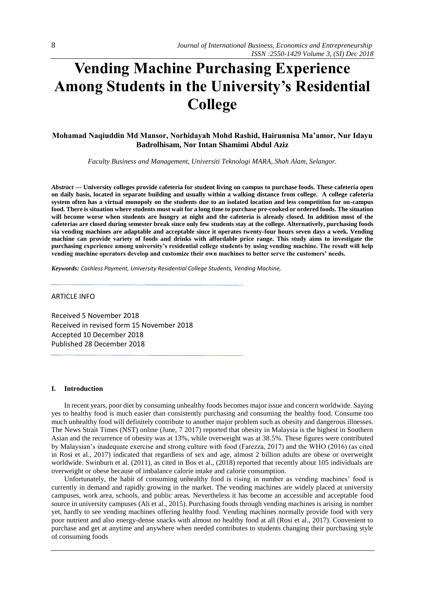# **Vending Machine Purchasing Experience Among Students in the University's Residential College**

# **Mohamad Naqiuddin Md Mansor, Norhidayah Mohd Rashid, Hairunnisa Ma'amor, Nur Idayu Badrolhisam, Nor Intan Shamimi Abdul Aziz**

*Faculty Business and Management, Universiti Teknologi MARA, Shah Alam, Selangor.*

*Abstract —* **University colleges provide cafeteria for student living on campus to purchase foods. These cafeteria open on daily basis, located in separate building and usually within a walking distance from college. A college cafeteria system often has a virtual monopoly on the students due to an isolated location and less competition for on-campus food. There is situation where students must wait for a long time to purchase pre-cooked or ordered foods. The situation will become worse when students are hungry at night and the cafeteria is already closed. In addition most of the cafeterias are closed during semester break since only few students stay at the college. Alternatively, purchasing foods via vending machines are adaptable and acceptable since it operates twenty-four hours seven days a week. Vending machine can provide variety of foods and drinks with affordable price range. This study aims to investigate the purchasing experience among university's residential college students by using vending machine. The result will help vending machine operators develop and customize their own machines to better serve the customers' needs.**

*Keywords: Cashless Payment, University Residential College Students, Vending Machine,*

#### ARTICLE INFO

Received 5 November 2018 Received in revised form 15 November 2018 Accepted 10 December 2018 Published 28 December 2018

#### **I. Introduction**

In recent years, poor diet by consuming unhealthy foods becomes major issue and concern worldwide. Saying yes to healthy food is much easier than consistently purchasing and consuming the healthy food. Consume too much unhealthy food will definitely contribute to another major problem such as obesity and dangerous illnesses. The News Strait Times (NST) online (June, 7 2017) reported that obesity in Malaysia is the highest in Southern Asian and the recurrence of obesity was at 13%, while overweight was at 38.5%. These figures were contributed by Malaysian's inadequate exercise and strong culture with food (Farezza, 2017) and the WHO (2016) (as cited in Rosi et al., 2017) indicated that regardless of sex and age, almost 2 billion adults are obese or overweight worldwide. Swinburn et al. (2011), as cited in Bos et al., (2018) reported that recently about 105 individuals are overweight or obese because of imbalance calorie intake and calorie consumption.

Unfortunately, the habit of consuming unhealthy food is rising in number as vending machines' food is currently in demand and rapidly growing in the market. The vending machines are widely placed at university campuses, work area, schools, and public areas. Nevertheless it has become an accessible and acceptable food source in university campuses (Ali et al., 2015). Purchasing foods through vending machines is arising in number yet, hardly to see vending machines offering healthy food. Vending machines normally provide food with very poor nutrient and also energy-dense snacks with almost no healthy food at all (Rosi et al., 2017). Convenient to purchase and get at anytime and anywhere when needed contributes to students changing their purchasing style of consuming foods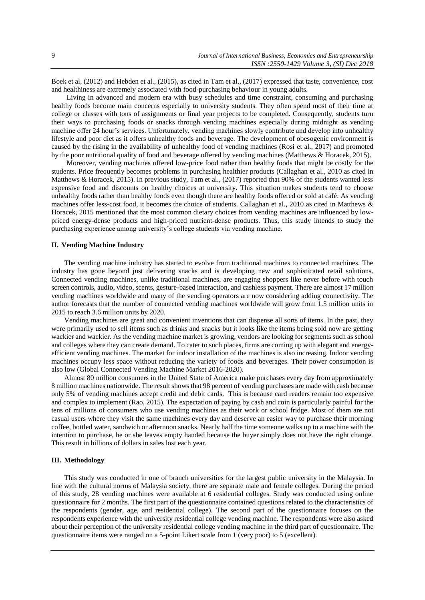Boek et al, (2012) and Hebden et al., (2015), as cited in Tam et al., (2017) expressed that taste, convenience, cost and healthiness are extremely associated with food-purchasing behaviour in young adults.

Living in advanced and modern era with busy schedules and time constraint, consuming and purchasing healthy foods become main concerns especially to university students. They often spend most of their time at college or classes with tons of assignments or final year projects to be completed. Consequently, students turn their ways to purchasing foods or snacks through vending machines especially during midnight as vending machine offer 24 hour's services. Unfortunately, vending machines slowly contribute and develop into unhealthy lifestyle and poor diet as it offers unhealthy foods and beverage. The development of obesogenic environment is caused by the rising in the availability of unhealthy food of vending machines (Rosi et al., 2017) and promoted by the poor nutritional quality of food and beverage offered by vending machines (Matthews & Horacek, 2015).

Moreover, vending machines offered low-price food rather than healthy foods that might be costly for the students. Price frequently becomes problems in purchasing healthier products (Callaghan et al., 2010 as cited in Matthews & Horacek, 2015). In previous study, Tam et al., (2017) reported that 90% of the students wanted less expensive food and discounts on healthy choices at university. This situation makes students tend to choose unhealthy foods rather than healthy foods even though there are healthy foods offered or sold at café. As vending machines offer less-cost food, it becomes the choice of students. Callaghan et al., 2010 as cited in Matthews & Horacek, 2015 mentioned that the most common dietary choices from vending machines are influenced by lowpriced energy-dense products and high-priced nutrient-dense products. Thus, this study intends to study the purchasing experience among university's college students via vending machine.

#### **II. Vending Machine Industry**

The vending machine industry has started to evolve from traditional machines to connected machines. The industry has gone beyond just delivering snacks and is developing new and sophisticated retail solutions. Connected vending machines, unlike traditional machines, are engaging shoppers like never before with touch screen controls, audio, video, scents, gesture-based interaction, and cashless payment. There are almost 17 million vending machines worldwide and many of the vending operators are now considering adding connectivity. The author forecasts that the number of connected vending machines worldwide will grow from 1.5 million units in 2015 to reach 3.6 million units by 2020.

Vending machines are great and convenient inventions that can dispense all sorts of items. In the past, they were primarily used to sell items such as drinks and snacks but it looks like the items being sold now are getting wackier and wackier. As the vending machine market is growing, vendors are looking for segments such as school and colleges where they can create demand. To cater to such places, firms are coming up with elegant and energyefficient vending machines. The market for indoor installation of the machines is also increasing. Indoor vending machines occupy less space without reducing the variety of foods and beverages. Their power consumption is also low (Global Connected Vending Machine Market 2016-2020).

Almost 80 million consumers in the United State of America make purchases every day from approximately 8 million machines nationwide. The result shows that 98 percent of vending purchases are made with cash because only 5% of vending machines accept credit and debit cards. This is because card readers remain too expensive and complex to implement (Rao, 2015). The expectation of paying by cash and coin is particularly painful for the tens of millions of consumers who use vending machines as their work or school fridge. Most of them are not casual users where they visit the same machines every day and deserve an easier way to purchase their morning coffee, bottled water, sandwich or afternoon snacks. Nearly half the time someone walks up to a machine with the intention to purchase, he or she leaves empty handed because the buyer simply does not have the right change. This result in billions of dollars in sales lost each year.

#### **III. Methodology**

This study was conducted in one of branch universities for the largest public university in the Malaysia. In line with the cultural norms of Malaysia society, there are separate male and female colleges. During the period of this study, 28 vending machines were available at 6 residential colleges. Study was conducted using online questionnaire for 2 months. The first part of the questionnaire contained questions related to the characteristics of the respondents (gender, age, and residential college). The second part of the questionnaire focuses on the respondents experience with the university residential college vending machine. The respondents were also asked about their perception of the university residential college vending machine in the third part of questionnaire. The questionnaire items were ranged on a 5-point Likert scale from 1 (very poor) to 5 (excellent).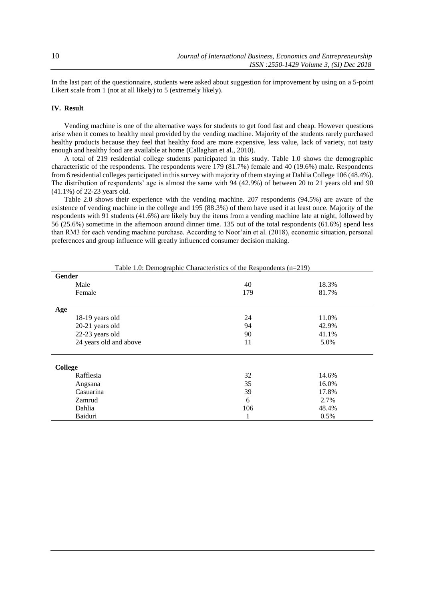In the last part of the questionnaire, students were asked about suggestion for improvement by using on a 5-point Likert scale from 1 (not at all likely) to 5 (extremely likely).

## **IV. Result**

Vending machine is one of the alternative ways for students to get food fast and cheap. However questions arise when it comes to healthy meal provided by the vending machine. Majority of the students rarely purchased healthy products because they feel that healthy food are more expensive, less value, lack of variety, not tasty enough and healthy food are available at home (Callaghan et al., 2010).

A total of 219 residential college students participated in this study. Table 1.0 shows the demographic characteristic of the respondents. The respondents were 179 (81.7%) female and 40 (19.6%) male. Respondents from 6 residential colleges participated in this survey with majority of them staying at Dahlia College 106 (48.4%). The distribution of respondents' age is almost the same with 94 (42.9%) of between 20 to 21 years old and 90 (41.1%) of 22-23 years old.

Table 2.0 shows their experience with the vending machine. 207 respondents (94.5%) are aware of the existence of vending machine in the college and 195 (88.3%) of them have used it at least once. Majority of the respondents with 91 students (41.6%) are likely buy the items from a vending machine late at night, followed by 56 (25.6%) sometime in the afternoon around dinner time. 135 out of the total respondents (61.6%) spend less than RM3 for each vending machine purchase. According to Noor'ain et al. (2018), economic situation, personal preferences and group influence will greatly influenced consumer decision making.

| Table 1.0: Demographic Characteristics of the Respondents $(n=219)$ |     |       |  |
|---------------------------------------------------------------------|-----|-------|--|
| Gender                                                              |     |       |  |
| Male                                                                | 40  | 18.3% |  |
| Female                                                              | 179 | 81.7% |  |
| Age                                                                 |     |       |  |
| 18-19 years old                                                     | 24  | 11.0% |  |
| 20-21 years old                                                     | 94  | 42.9% |  |
| 22-23 years old                                                     | 90  | 41.1% |  |
| 24 years old and above                                              | 11  | 5.0%  |  |
| College                                                             |     |       |  |
| Rafflesia                                                           | 32  | 14.6% |  |
| Angsana                                                             | 35  | 16.0% |  |
| Casuarina                                                           | 39  | 17.8% |  |
| Zamrud                                                              | 6   | 2.7%  |  |
| Dahlia                                                              | 106 | 48.4% |  |
| Baiduri                                                             |     | 0.5%  |  |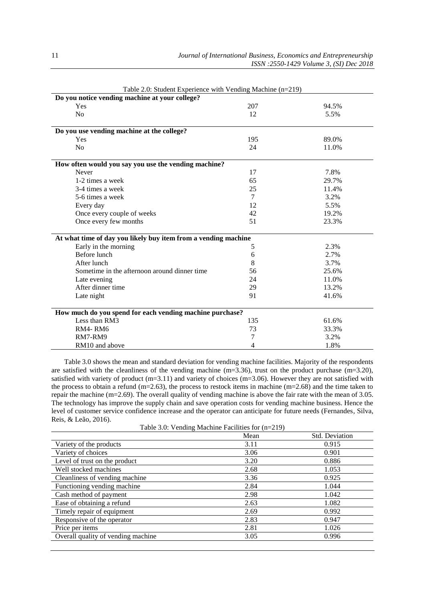| Table 2.0: Student Experience with Vending Machine $(n=219)$              |        |       |
|---------------------------------------------------------------------------|--------|-------|
| Do you notice vending machine at your college?                            |        |       |
| Yes                                                                       | 207    | 94.5% |
| N <sub>o</sub>                                                            | 12     | 5.5%  |
|                                                                           |        |       |
| Do you use vending machine at the college?                                |        |       |
| Yes                                                                       | 195    | 89.0% |
| N <sub>0</sub>                                                            | 24     | 11.0% |
| How often would you say you use the vending machine?                      |        |       |
| Never                                                                     | 17     | 7.8%  |
| 1-2 times a week                                                          | 65     | 29.7% |
| 3-4 times a week                                                          | 25     | 11.4% |
| 5-6 times a week                                                          | $\tau$ | 3.2%  |
| Every day                                                                 | 12     | 5.5%  |
| Once every couple of weeks                                                | 42     | 19.2% |
| Once every few months                                                     | 51     | 23.3% |
| At what time of day you likely buy item from a vending machine            |        |       |
| Early in the morning                                                      | 5      | 2.3%  |
| Before lunch                                                              | 6      | 2.7%  |
| After lunch                                                               | 8      | 3.7%  |
| Sometime in the afternoon around dinner time                              | 56     | 25.6% |
| Late evening                                                              | 24     | 11.0% |
| After dinner time                                                         | 29     | 13.2% |
| Late night                                                                | 91     | 41.6% |
|                                                                           |        |       |
| How much do you spend for each vending machine purchase?<br>Less than RM3 |        | 61.6% |
|                                                                           | 135    |       |
| RM4-RM6                                                                   | 73     | 33.3% |
| RM7-RM9                                                                   | 7      | 3.2%  |
| RM10 and above                                                            | 4      | 1.8%  |

Table 2.0: Student Experience with Vending Machine (n=219)

Table 3.0 shows the mean and standard deviation for vending machine facilities. Majority of the respondents are satisfied with the cleanliness of the vending machine  $(m=3.36)$ , trust on the product purchase  $(m=3.20)$ , satisfied with variety of product (m=3.11) and variety of choices (m=3.06). However they are not satisfied with the process to obtain a refund (m=2.63), the process to restock items in machine (m=2.68) and the time taken to repair the machine (m=2.69). The overall quality of vending machine is above the fair rate with the mean of 3.05. The technology has improve the supply chain and save operation costs for vending machine business. Hence the level of customer service confidence increase and the operator can anticipate for future needs (Fernandes, Silva, Reis, & Leão, 2016).

Table 3.0: Vending Machine Facilities for (n=219)

|                                    | Std. Deviation<br>Mean |       |
|------------------------------------|------------------------|-------|
| Variety of the products            | 3.11                   | 0.915 |
| Variety of choices                 | 3.06                   | 0.901 |
| Level of trust on the product      | 3.20                   | 0.886 |
| Well stocked machines              | 2.68                   | 1.053 |
| Cleanliness of vending machine     | 3.36                   | 0.925 |
| Functioning vending machine        | 2.84                   | 1.044 |
| Cash method of payment             | 2.98                   | 1.042 |
| Ease of obtaining a refund         | 2.63                   | 1.082 |
| Timely repair of equipment         | 2.69                   | 0.992 |
| Responsive of the operator         | 2.83                   | 0.947 |
| Price per items                    | 2.81                   | 1.026 |
| Overall quality of vending machine | 3.05                   | 0.996 |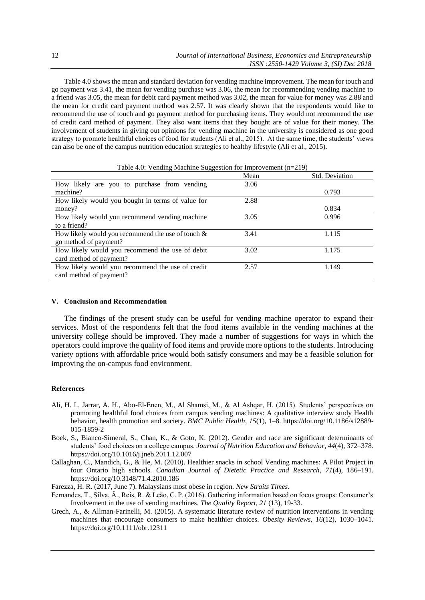Table 4.0 shows the mean and standard deviation for vending machine improvement. The mean for touch and go payment was 3.41, the mean for vending purchase was 3.06, the mean for recommending vending machine to a friend was 3.05, the mean for debit card payment method was 3.02, the mean for value for money was 2.88 and the mean for credit card payment method was 2.57. It was clearly shown that the respondents would like to recommend the use of touch and go payment method for purchasing items. They would not recommend the use of credit card method of payment. They also want items that they bought are of value for their money. The involvement of students in giving out opinions for vending machine in the university is considered as one good strategy to promote healthful choices of food for students (Ali et al., 2015). At the same time, the students' views can also be one of the campus nutrition education strategies to healthy lifestyle (Ali et al., 2015).

|                                                      | Mean | Std. Deviation |
|------------------------------------------------------|------|----------------|
| How likely are you to purchase from vending          | 3.06 |                |
| machine?                                             |      | 0.793          |
| How likely would you bought in terms of value for    | 2.88 |                |
| money?                                               |      | 0.834          |
| How likely would you recommend vending machine       | 3.05 | 0.996          |
| to a friend?                                         |      |                |
| How likely would you recommend the use of touch $\&$ | 3.41 | 1.115          |
| go method of payment?                                |      |                |
| How likely would you recommend the use of debit      | 3.02 | 1.175          |
| card method of payment?                              |      |                |
| How likely would you recommend the use of credit     | 2.57 | 1.149          |
| card method of payment?                              |      |                |

|  | Table 4.0: Vending Machine Suggestion for Improvement (n=219) |  |  |  |
|--|---------------------------------------------------------------|--|--|--|
|--|---------------------------------------------------------------|--|--|--|

#### **V. Conclusion and Recommendation**

The findings of the present study can be useful for vending machine operator to expand their services. Most of the respondents felt that the food items available in the vending machines at the university college should be improved. They made a number of suggestions for ways in which the operators could improve the quality of food items and provide more options to the students. Introducing variety options with affordable price would both satisfy consumers and may be a feasible solution for improving the on-campus food environment.

## **References**

- Ali, H. I., Jarrar, A. H., Abo-El-Enen, M., Al Shamsi, M., & Al Ashqar, H. (2015). Students' perspectives on promoting healthful food choices from campus vending machines: A qualitative interview study Health behavior, health promotion and society. *BMC Public Health*, *15*(1), 1–8. https://doi.org/10.1186/s12889- 015-1859-2
- Boek, S., Bianco-Simeral, S., Chan, K., & Goto, K. (2012). Gender and race are significant determinants of students' food choices on a college campus. *Journal of Nutrition Education and Behavior*, *44*(4), 372–378. https://doi.org/10.1016/j.jneb.2011.12.007
- Callaghan, C., Mandich, G., & He, M. (2010). Healthier snacks in school Vending machines: A Pilot Project in four Ontario high schools. *Canadian Journal of Dietetic Practice and Research*, *71*(4), 186–191. https://doi.org/10.3148/71.4.2010.186
- Farezza, H. R. (2017, June 7). Malaysians most obese in region. *New Straits Times*.
- Fernandes, T., Silva, Â., Reis, R. & Leão, C. P. (2016). Gathering information based on focus groups: Consumer's Involvement in the use of vending machines. *The Quality Report*, *21* (13), 19-33.
- Grech, A., & Allman-Farinelli, M. (2015). A systematic literature review of nutrition interventions in vending machines that encourage consumers to make healthier choices. *Obesity Reviews*, *16*(12), 1030–1041. https://doi.org/10.1111/obr.12311